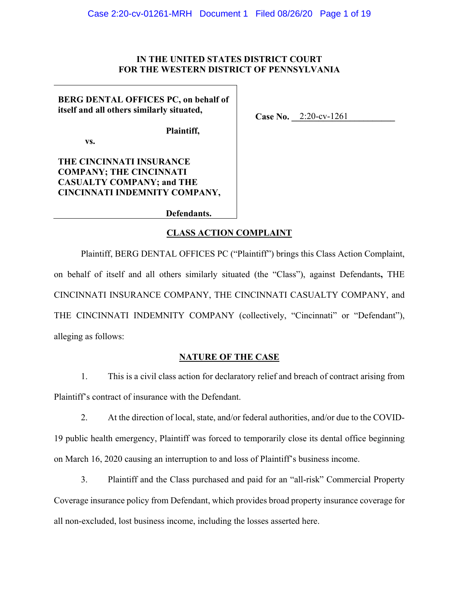## IN THE UNITED STATES DISTRICT COURT FOR THE WESTERN DISTRICT OF PENNSYLVANIA

Case No. 2:20-cv-1261

**BERG DENTAL OFFICES PC, on behalf of** itself and all others similarly situated,

Plaintiff,

VS.

THE CINCINNATI INSURANCE **COMPANY; THE CINCINNATI CASUALTY COMPANY; and THE** CINCINNATI INDEMNITY COMPANY,

Defendants.

## **CLASS ACTION COMPLAINT**

Plaintiff, BERG DENTAL OFFICES PC ("Plaintiff") brings this Class Action Complaint, on behalf of itself and all others similarly situated (the "Class"), against Defendants, THE CINCINNATI INSURANCE COMPANY, THE CINCINNATI CASUALTY COMPANY, and THE CINCINNATI INDEMNITY COMPANY (collectively, "Cincinnati" or "Defendant"), alleging as follows:

#### **NATURE OF THE CASE**

 $1<sup>1</sup>$ This is a civil class action for declaratory relief and breach of contract arising from Plaintiff's contract of insurance with the Defendant.

 $2.$ At the direction of local, state, and/or federal authorities, and/or due to the COVID-19 public health emergency, Plaintiff was forced to temporarily close its dental office beginning on March 16, 2020 causing an interruption to and loss of Plaintiff's business income.

 $3.$ Plaintiff and the Class purchased and paid for an "all-risk" Commercial Property Coverage insurance policy from Defendant, which provides broad property insurance coverage for all non-excluded, lost business income, including the losses asserted here.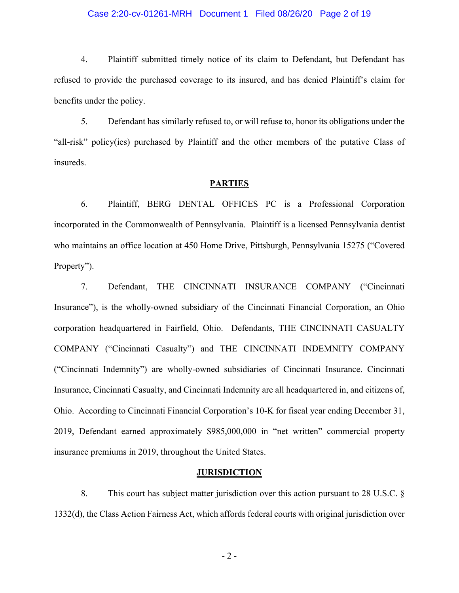#### Case 2:20-cv-01261-MRH Document 1 Filed 08/26/20 Page 2 of 19

 $4.$ Plaintiff submitted timely notice of its claim to Defendant, but Defendant has refused to provide the purchased coverage to its insured, and has denied Plaintiff's claim for benefits under the policy.

5. Defendant has similarly refused to, or will refuse to, honor its obligations under the "all-risk" policy(ies) purchased by Plaintiff and the other members of the putative Class of insureds.

#### **PARTIES**

6. Plaintiff, BERG DENTAL OFFICES PC is a Professional Corporation incorporated in the Commonwealth of Pennsylvania. Plaintiff is a licensed Pennsylvania dentist who maintains an office location at 450 Home Drive, Pittsburgh, Pennsylvania 15275 ("Covered Property").

7. THE CINCINNATI INSURANCE COMPANY ("Cincinnati Defendant, Insurance"), is the wholly-owned subsidiary of the Cincinnati Financial Corporation, an Ohio corporation headquartered in Fairfield, Ohio. Defendants, THE CINCINNATI CASUALTY COMPANY ("Cincinnati Casualty") and THE CINCINNATI INDEMNITY COMPANY ("Cincinnati Indemnity") are wholly-owned subsidiaries of Cincinnati Insurance. Cincinnati Insurance, Cincinnati Casualty, and Cincinnati Indemnity are all headquartered in, and citizens of, Ohio. According to Cincinnati Financial Corporation's 10-K for fiscal year ending December 31, 2019, Defendant earned approximately \$985,000,000 in "net written" commercial property insurance premiums in 2019, throughout the United States.

#### **JURISDICTION**

8. This court has subject matter jurisdiction over this action pursuant to 28 U.S.C.  $\S$ 1332(d), the Class Action Fairness Act, which affords federal courts with original jurisdiction over

 $-2-$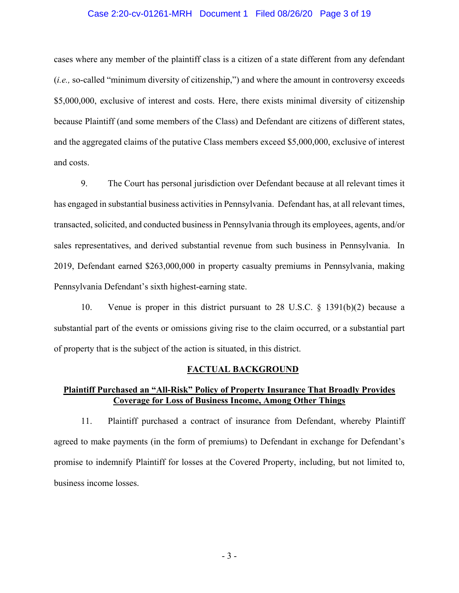#### Case 2:20-cv-01261-MRH Document 1 Filed 08/26/20 Page 3 of 19

cases where any member of the plaintiff class is a citizen of a state different from any defendant *(i.e., so-called "minimum diversity of citizenship,") and where the amount in controversy exceeds* \$5,000,000, exclusive of interest and costs. Here, there exists minimal diversity of citizenship because Plaintiff (and some members of the Class) and Defendant are citizens of different states, and the aggregated claims of the putative Class members exceed \$5,000,000, exclusive of interest and costs.

9. The Court has personal jurisdiction over Defendant because at all relevant times it has engaged in substantial business activities in Pennsylvania. Defendant has, at all relevant times, transacted, solicited, and conducted business in Pennsylvania through its employees, agents, and/or sales representatives, and derived substantial revenue from such business in Pennsylvania. In 2019, Defendant earned \$263,000,000 in property casualty premiums in Pennsylvania, making Pennsylvania Defendant's sixth highest-earning state.

10. Venue is proper in this district pursuant to 28 U.S.C.  $\S$  1391(b)(2) because a substantial part of the events or omissions giving rise to the claim occurred, or a substantial part of property that is the subject of the action is situated, in this district.

#### **FACTUAL BACKGROUND**

## **Plaintiff Purchased an "All-Risk" Policy of Property Insurance That Broadly Provides Coverage for Loss of Business Income, Among Other Things**

11. Plaintiff purchased a contract of insurance from Defendant, whereby Plaintiff agreed to make payments (in the form of premiums) to Defendant in exchange for Defendant's promise to indemnify Plaintiff for losses at the Covered Property, including, but not limited to, business income losses.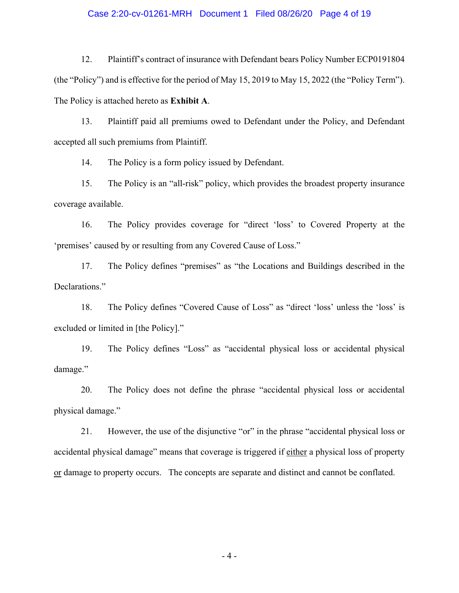#### Case 2:20-cv-01261-MRH Document 1 Filed 08/26/20 Page 4 of 19

 $12.$ Plaintiff's contract of insurance with Defendant bears Policy Number ECP0191804 (the "Policy") and is effective for the period of May 15, 2019 to May 15, 2022 (the "Policy Term"). The Policy is attached hereto as Exhibit A.

13. Plaintiff paid all premiums owed to Defendant under the Policy, and Defendant accepted all such premiums from Plaintiff.

14. The Policy is a form policy issued by Defendant.

15. The Policy is an "all-risk" policy, which provides the broadest property insurance coverage available.

16. The Policy provides coverage for "direct 'loss' to Covered Property at the 'premises' caused by or resulting from any Covered Cause of Loss."

17. The Policy defines "premises" as "the Locations and Buildings described in the Declarations."

18. The Policy defines "Covered Cause of Loss" as "direct 'loss' unless the 'loss' is excluded or limited in [the Policy]."

19. The Policy defines "Loss" as "accidental physical loss or accidental physical damage."

20. The Policy does not define the phrase "accidental physical loss or accidental physical damage."

21. However, the use of the disjunctive "or" in the phrase "accidental physical loss or accidental physical damage" means that coverage is triggered if either a physical loss of property or damage to property occurs. The concepts are separate and distinct and cannot be conflated.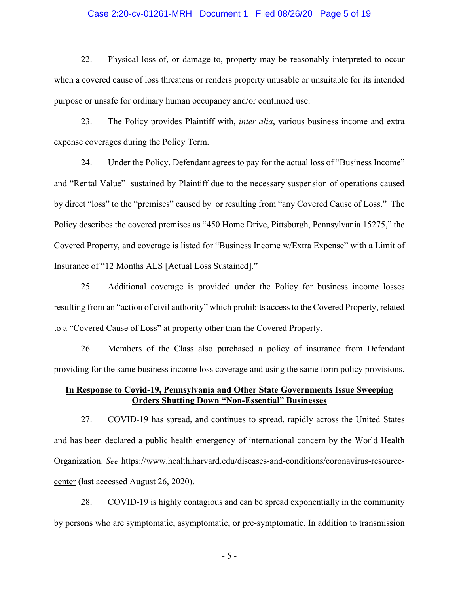#### Case 2:20-cv-01261-MRH Document 1 Filed 08/26/20 Page 5 of 19

22. Physical loss of, or damage to, property may be reasonably interpreted to occur when a covered cause of loss threatens or renders property unusable or unsuitable for its intended purpose or unsafe for ordinary human occupancy and/or continued use.

23. The Policy provides Plaintiff with, *inter alia*, various business income and extra expense coverages during the Policy Term.

24. Under the Policy, Defendant agrees to pay for the actual loss of "Business Income" and "Rental Value" sustained by Plaintiff due to the necessary suspension of operations caused by direct "loss" to the "premises" caused by or resulting from "any Covered Cause of Loss." The Policy describes the covered premises as "450 Home Drive, Pittsburgh, Pennsylvania 15275," the Covered Property, and coverage is listed for "Business Income w/Extra Expense" with a Limit of Insurance of "12 Months ALS [Actual Loss Sustained]."

25. Additional coverage is provided under the Policy for business income losses resulting from an "action of civil authority" which prohibits access to the Covered Property, related to a "Covered Cause of Loss" at property other than the Covered Property.

26. Members of the Class also purchased a policy of insurance from Defendant providing for the same business income loss coverage and using the same form policy provisions.

# In Response to Covid-19, Pennsylvania and Other State Governments Issue Sweeping **Orders Shutting Down "Non-Essential" Businesses**

27. COVID-19 has spread, and continues to spread, rapidly across the United States and has been declared a public health emergency of international concern by the World Health Organization. See https://www.health.harvard.edu/diseases-and-conditions/coronavirus-resourcecenter (last accessed August 26, 2020).

COVID-19 is highly contagious and can be spread exponentially in the community 28. by persons who are symptomatic, asymptomatic, or pre-symptomatic. In addition to transmission

 $-5-$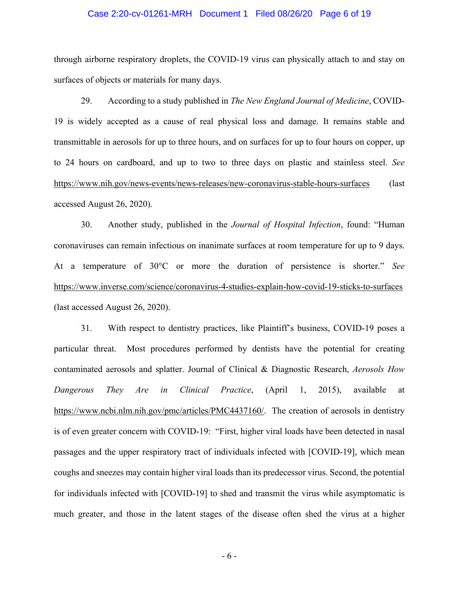#### Case 2:20-cv-01261-MRH Document 1 Filed 08/26/20 Page 6 of 19

through airborne respiratory droplets, the COVID-19 virus can physically attach to and stay on surfaces of objects or materials for many days.

29. According to a study published in *The New England Journal of Medicine*, COVID-19 is widely accepted as a cause of real physical loss and damage. It remains stable and transmittable in aerosols for up to three hours, and on surfaces for up to four hours on copper, up to 24 hours on cardboard, and up to two to three days on plastic and stainless steel. See https://www.nih.gov/news-events/news-releases/new-coronavirus-stable-hours-surfaces (last accessed August  $26$ ,  $2020$ ).

30. Another study, published in the *Journal of Hospital Infection*, found: "Human coronaviruses can remain infectious on inanimate surfaces at room temperature for up to 9 days. At a temperature of 30°C or more the duration of persistence is shorter." See https://www.inverse.com/science/coronavirus-4-studies-explain-how-covid-19-sticks-to-surfaces (last accessed August 26, 2020).

31. With respect to dentistry practices, like Plaintiff's business, COVID-19 poses a particular threat. Most procedures performed by dentists have the potential for creating contaminated aerosols and splatter. Journal of Clinical & Diagnostic Research, *Aerosols How* Dangerous They Are in Clinical Practice, (April 1, 2015), available at https://www.ncbi.nlm.nih.gov/pmc/articles/PMC4437160/. The creation of aerosols in dentistry is of even greater concern with COVID-19: "First, higher viral loads have been detected in nasal passages and the upper respiratory tract of individuals infected with [COVID-19], which mean coughs and sneezes may contain higher viral loads than its predecessor virus. Second, the potential for individuals infected with [COVID-19] to shed and transmit the virus while asymptomatic is much greater, and those in the latent stages of the disease often shed the virus at a higher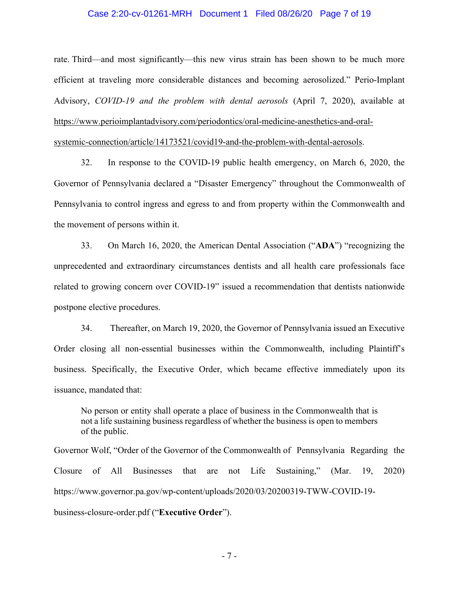#### Case 2:20-cv-01261-MRH Document 1 Filed 08/26/20 Page 7 of 19

rate. Third—and most significantly—this new virus strain has been shown to be much more efficient at traveling more considerable distances and becoming aerosolized." Perio-Implant Advisory, COVID-19 and the problem with dental aerosols (April 7, 2020), available at https://www.perioimplantadvisory.com/periodontics/oral-medicine-anesthetics-and-oral-

systemic-connection/article/14173521/covid19-and-the-problem-with-dental-aerosols.

32. In response to the COVID-19 public health emergency, on March 6, 2020, the Governor of Pennsylvania declared a "Disaster Emergency" throughout the Commonwealth of Pennsylvania to control ingress and egress to and from property within the Commonwealth and the movement of persons within it.

33. On March 16, 2020, the American Dental Association ("ADA") "recognizing the unprecedented and extraordinary circumstances dentists and all health care professionals face related to growing concern over COVID-19" issued a recommendation that dentists nationwide postpone elective procedures.

 $34$ Thereafter, on March 19, 2020, the Governor of Pennsylvania issued an Executive Order closing all non-essential businesses within the Commonwealth, including Plaintiff's business. Specifically, the Executive Order, which became effective immediately upon its issuance, mandated that:

No person or entity shall operate a place of business in the Commonwealth that is not a life sustaining business regardless of whether the business is open to members of the public.

Governor Wolf, "Order of the Governor of the Commonwealth of Pennsylvania Regarding the Closure of All Businesses that are not Life Sustaining," (Mar. 19. 2020) https://www.governor.pa.gov/wp-content/uploads/2020/03/20200319-TWW-COVID-19business-closure-order.pdf ("Executive Order").

 $-7-$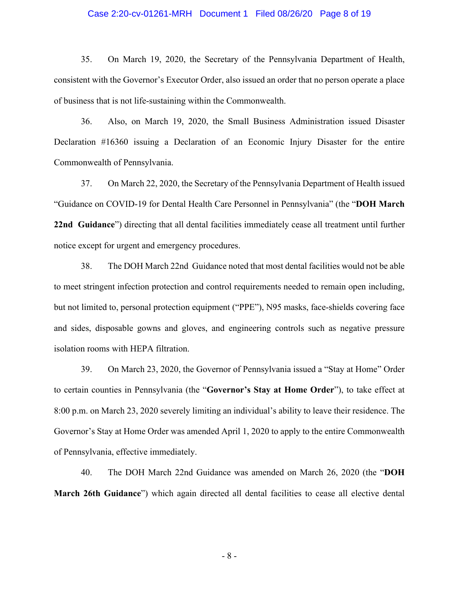#### Case 2:20-cv-01261-MRH Document 1 Filed 08/26/20 Page 8 of 19

35. On March 19, 2020, the Secretary of the Pennsylvania Department of Health, consistent with the Governor's Executor Order, also issued an order that no person operate a place of business that is not life-sustaining within the Commonwealth.

36. Also, on March 19, 2020, the Small Business Administration issued Disaster Declaration #16360 issuing a Declaration of an Economic Injury Disaster for the entire Commonwealth of Pennsylvania.

37. On March 22, 2020, the Secretary of the Pennsylvania Department of Health issued "Guidance on COVID-19 for Dental Health Care Personnel in Pennsylvania" (the "DOH March 22nd Guidance") directing that all dental facilities immediately cease all treatment until further notice except for urgent and emergency procedures.

38. The DOH March 22nd Guidance noted that most dental facilities would not be able to meet stringent infection protection and control requirements needed to remain open including, but not limited to, personal protection equipment ("PPE"), N95 masks, face-shields covering face and sides, disposable gowns and gloves, and engineering controls such as negative pressure isolation rooms with HEPA filtration.

39. On March 23, 2020, the Governor of Pennsylvania issued a "Stay at Home" Order to certain counties in Pennsylvania (the "Governor's Stay at Home Order"), to take effect at 8:00 p.m. on March 23, 2020 severely limiting an individual's ability to leave their residence. The Governor's Stay at Home Order was amended April 1, 2020 to apply to the entire Commonwealth of Pennsylvania, effective immediately.

40. The DOH March 22nd Guidance was amended on March 26, 2020 (the "DOH March 26th Guidance") which again directed all dental facilities to cease all elective dental

 $-8-$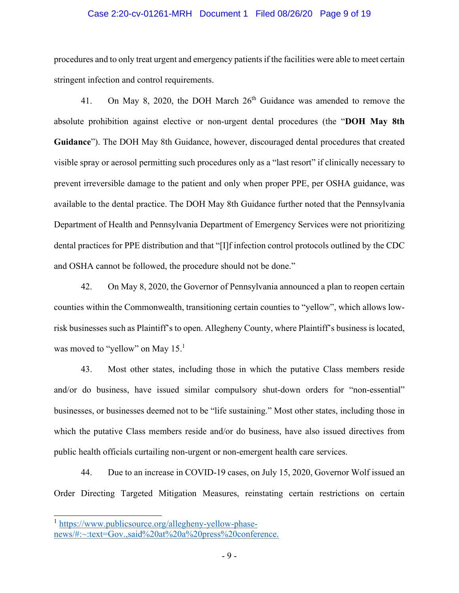#### Case 2:20-cv-01261-MRH Document 1 Filed 08/26/20 Page 9 of 19

procedures and to only treat urgent and emergency patients if the facilities were able to meet certain stringent infection and control requirements.

On May 8, 2020, the DOH March 26<sup>th</sup> Guidance was amended to remove the 41. absolute prohibition against elective or non-urgent dental procedures (the "DOH May 8th Guidance"). The DOH May 8th Guidance, however, discouraged dental procedures that created visible spray or aerosol permitting such procedures only as a "last resort" if clinically necessary to prevent irreversible damage to the patient and only when proper PPE, per OSHA guidance, was available to the dental practice. The DOH May 8th Guidance further noted that the Pennsylvania Department of Health and Pennsylvania Department of Emergency Services were not prioritizing dental practices for PPE distribution and that "[I]f infection control protocols outlined by the CDC and OSHA cannot be followed, the procedure should not be done."

42. On May 8, 2020, the Governor of Pennsylvania announced a plan to reopen certain counties within the Commonwealth, transitioning certain counties to "yellow", which allows lowrisk businesses such as Plaintiff's to open. Allegheny County, where Plaintiff's business is located, was moved to "yellow" on May  $15<sup>1</sup>$ 

43. Most other states, including those in which the putative Class members reside and/or do business, have issued similar compulsory shut-down orders for "non-essential" businesses, or businesses deemed not to be "life sustaining." Most other states, including those in which the putative Class members reside and/or do business, have also issued directives from public health officials curtailing non-urgent or non-emergent health care services.

Due to an increase in COVID-19 cases, on July 15, 2020, Governor Wolf issued an 44. Order Directing Targeted Mitigation Measures, reinstating certain restrictions on certain

<sup>&</sup>lt;sup>1</sup> https://www.publicsource.org/allegheny-yellow-phasenews/#:~:text=Gov.,said%20at%20a%20press%20conference.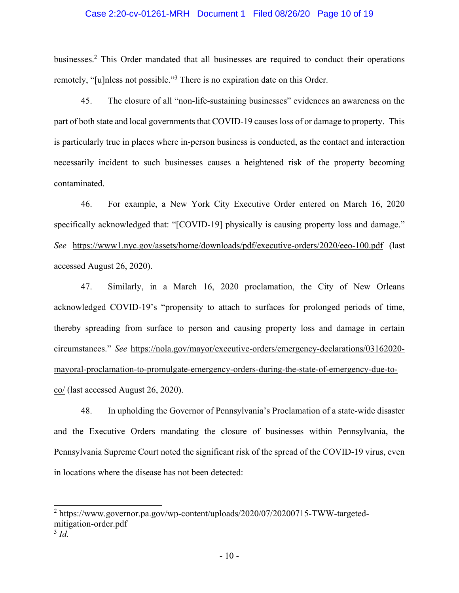#### Case 2:20-cv-01261-MRH Document 1 Filed 08/26/20 Page 10 of 19

businesses.<sup>2</sup> This Order mandated that all businesses are required to conduct their operations remotely, "[u]nless not possible."<sup>3</sup> There is no expiration date on this Order.

45. The closure of all "non-life-sustaining businesses" evidences an awareness on the part of both state and local governments that COVID-19 causes loss of or damage to property. This is particularly true in places where in-person business is conducted, as the contact and interaction necessarily incident to such businesses causes a heightened risk of the property becoming contaminated.

For example, a New York City Executive Order entered on March 16, 2020 46. specifically acknowledged that: "[COVID-19] physically is causing property loss and damage." See https://www1.nyc.gov/assets/home/downloads/pdf/executive-orders/2020/eeo-100.pdf (last accessed August 26, 2020).

47. Similarly, in a March 16, 2020 proclamation, the City of New Orleans acknowledged COVID-19's "propensity to attach to surfaces for prolonged periods of time, thereby spreading from surface to person and causing property loss and damage in certain circumstances." See https://nola.gov/mayor/executive-orders/emergency-declarations/03162020mayoral-proclamation-to-promulgate-emergency-orders-during-the-state-of-emergency-due-toco/ (last accessed August 26, 2020).

48. In upholding the Governor of Pennsylvania's Proclamation of a state-wide disaster and the Executive Orders mandating the closure of businesses within Pennsylvania, the Pennsylvania Supreme Court noted the significant risk of the spread of the COVID-19 virus, even in locations where the disease has not been detected:

<sup>&</sup>lt;sup>2</sup> https://www.governor.pa.gov/wp-content/uploads/2020/07/20200715-TWW-targetedmitigation-order.pdf

 $3 \dot{d}$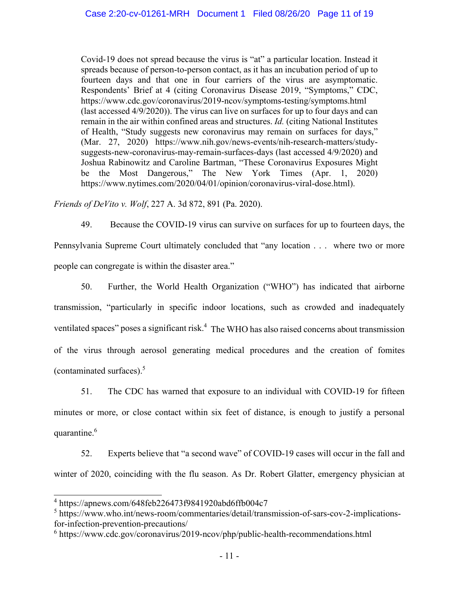Covid-19 does not spread because the virus is "at" a particular location. Instead it spreads because of person-to-person contact, as it has an incubation period of up to fourteen days and that one in four carriers of the virus are asymptomatic. Respondents' Brief at 4 (citing Coronavirus Disease 2019, "Symptoms," CDC, https://www.cdc.gov/coronavirus/2019-ncov/symptoms-testing/symptoms.html (last accessed 4/9/2020)). The virus can live on surfaces for up to four days and can remain in the air within confined areas and structures. Id. (citing National Institutes of Health, "Study suggests new coronavirus may remain on surfaces for days," (Mar. 27, 2020) https://www.nih.gov/news-events/nih-research-matters/studysuggests-new-coronavirus-may-remain-surfaces-days (last accessed 4/9/2020) and Joshua Rabinowitz and Caroline Bartman, "These Coronavirus Exposures Might be the Most Dangerous," The New York Times (Apr. 1, 2020) https://www.nytimes.com/2020/04/01/opinion/coronavirus-viral-dose.html).

Friends of DeVito v. Wolf, 227 A. 3d 872, 891 (Pa. 2020).

49. Because the COVID-19 virus can survive on surfaces for up to fourteen days, the Pennsylvania Supreme Court ultimately concluded that "any location . . . where two or more people can congregate is within the disaster area."

50. Further, the World Health Organization ("WHO") has indicated that airborne transmission, "particularly in specific indoor locations, such as crowded and inadequately ventilated spaces" poses a significant risk.<sup>4</sup> The WHO has also raised concerns about transmission of the virus through aerosol generating medical procedures and the creation of fomites (contaminated surfaces). $5$ 

51. The CDC has warned that exposure to an individual with COVID-19 for fifteen minutes or more, or close contact within six feet of distance, is enough to justify a personal quarantine.<sup>6</sup>

52. Experts believe that "a second wave" of COVID-19 cases will occur in the fall and winter of 2020, coinciding with the flu season. As Dr. Robert Glatter, emergency physician at

 $4 \text{ https://apnews.com/648feb226473f9841920abd6ffb004c7}$ 

<sup>&</sup>lt;sup>5</sup> https://www.who.int/news-room/commentaries/detail/transmission-of-sars-cov-2-implicationsfor-infection-prevention-precautions/

 $6$  https://www.cdc.gov/coronavirus/2019-ncov/php/public-health-recommendations.html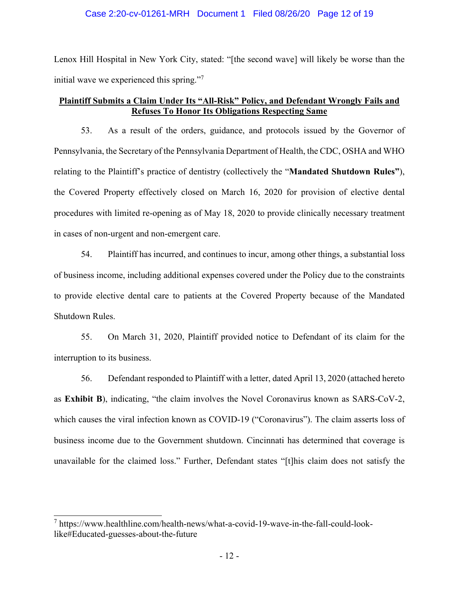#### Case 2:20-cv-01261-MRH Document 1 Filed 08/26/20 Page 12 of 19

Lenox Hill Hospital in New York City, stated: "[the second wave] will likely be worse than the initial wave we experienced this spring."

# Plaintiff Submits a Claim Under Its "All-Risk" Policy, and Defendant Wrongly Fails and **Refuses To Honor Its Obligations Respecting Same**

As a result of the orders, guidance, and protocols issued by the Governor of 53. Pennsylvania, the Secretary of the Pennsylvania Department of Health, the CDC, OSHA and WHO relating to the Plaintiff's practice of dentistry (collectively the "Mandated Shutdown Rules"), the Covered Property effectively closed on March 16, 2020 for provision of elective dental procedures with limited re-opening as of May 18, 2020 to provide clinically necessary treatment in cases of non-urgent and non-emergent care.

54. Plaintiff has incurred, and continues to incur, among other things, a substantial loss of business income, including additional expenses covered under the Policy due to the constraints to provide elective dental care to patients at the Covered Property because of the Mandated Shutdown Rules.

55. On March 31, 2020, Plaintiff provided notice to Defendant of its claim for the interruption to its business.

56. Defendant responded to Plaintiff with a letter, dated April 13, 2020 (attached hereto as Exhibit B), indicating, "the claim involves the Novel Coronavirus known as SARS-CoV-2, which causes the viral infection known as COVID-19 ("Coronavirus"). The claim asserts loss of business income due to the Government shutdown. Cincinnati has determined that coverage is unavailable for the claimed loss." Further, Defendant states "[t]his claim does not satisfy the

<sup>&</sup>lt;sup>7</sup> https://www.healthline.com/health-news/what-a-covid-19-wave-in-the-fall-could-looklike#Educated-guesses-about-the-future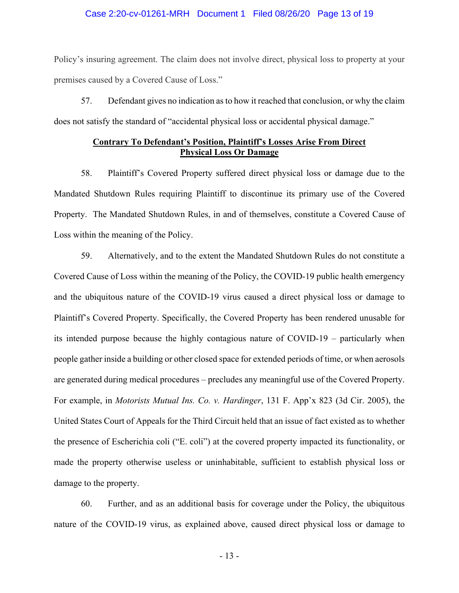#### Case 2:20-cv-01261-MRH Document 1 Filed 08/26/20 Page 13 of 19

Policy's insuring agreement. The claim does not involve direct, physical loss to property at your premises caused by a Covered Cause of Loss."

57. Defendant gives no indication as to how it reached that conclusion, or why the claim does not satisfy the standard of "accidental physical loss or accidental physical damage."

## **Contrary To Defendant's Position, Plaintiff's Losses Arise From Direct Physical Loss Or Damage**

58. Plaintiff's Covered Property suffered direct physical loss or damage due to the Mandated Shutdown Rules requiring Plaintiff to discontinue its primary use of the Covered Property. The Mandated Shutdown Rules, in and of themselves, constitute a Covered Cause of Loss within the meaning of the Policy.

59. Alternatively, and to the extent the Mandated Shutdown Rules do not constitute a Covered Cause of Loss within the meaning of the Policy, the COVID-19 public health emergency and the ubiquitous nature of the COVID-19 virus caused a direct physical loss or damage to Plaintiff's Covered Property. Specifically, the Covered Property has been rendered unusable for its intended purpose because the highly contagious nature of COVID-19 – particularly when people gather inside a building or other closed space for extended periods of time, or when aerosols are generated during medical procedures – precludes any meaningful use of the Covered Property. For example, in *Motorists Mutual Ins. Co. v. Hardinger*, 131 F. App'x 823 (3d Cir. 2005), the United States Court of Appeals for the Third Circuit held that an issue of fact existed as to whether the presence of Escherichia coli ("E. coli") at the covered property impacted its functionality, or made the property otherwise useless or uninhabitable, sufficient to establish physical loss or damage to the property.

60. Further, and as an additional basis for coverage under the Policy, the ubiquitous nature of the COVID-19 virus, as explained above, caused direct physical loss or damage to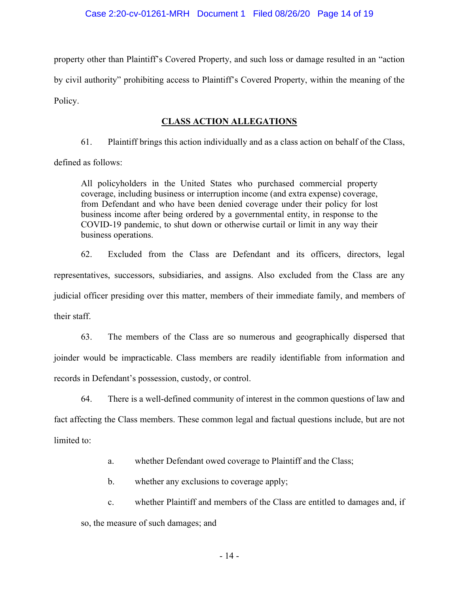property other than Plaintiff's Covered Property, and such loss or damage resulted in an "action by civil authority" prohibiting access to Plaintiff's Covered Property, within the meaning of the Policy.

# **CLASS ACTION ALLEGATIONS**

61. Plaintiff brings this action individually and as a class action on behalf of the Class,

defined as follows:

All policyholders in the United States who purchased commercial property coverage, including business or interruption income (and extra expense) coverage, from Defendant and who have been denied coverage under their policy for lost business income after being ordered by a governmental entity, in response to the COVID-19 pandemic, to shut down or otherwise curtail or limit in any way their business operations.

62. Excluded from the Class are Defendant and its officers, directors, legal representatives, successors, subsidiaries, and assigns. Also excluded from the Class are any judicial officer presiding over this matter, members of their immediate family, and members of their staff.

63. The members of the Class are so numerous and geographically dispersed that joinder would be impracticable. Class members are readily identifiable from information and records in Defendant's possession, custody, or control.

64. There is a well-defined community of interest in the common questions of law and fact affecting the Class members. These common legal and factual questions include, but are not limited to:

> whether Defendant owed coverage to Plaintiff and the Class; a.

 $\mathbf{b}$ . whether any exclusions to coverage apply;

 $\mathbf{c}$ . whether Plaintiff and members of the Class are entitled to damages and, if so, the measure of such damages; and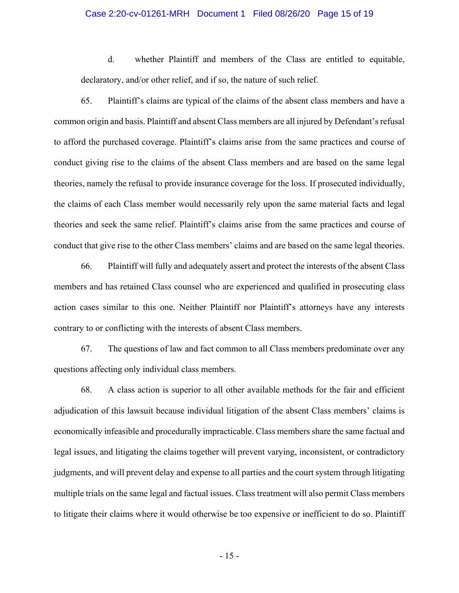#### Case 2:20-cv-01261-MRH Document 1 Filed 08/26/20 Page 15 of 19

 $d_{\cdot}$ whether Plaintiff and members of the Class are entitled to equitable, declaratory, and/or other relief, and if so, the nature of such relief.

65. Plaintiff's claims are typical of the claims of the absent class members and have a common origin and basis. Plaintiff and absent Class members are all injured by Defendant's refusal to afford the purchased coverage. Plaintiff's claims arise from the same practices and course of conduct giving rise to the claims of the absent Class members and are based on the same legal theories, namely the refusal to provide insurance coverage for the loss. If prosecuted individually, the claims of each Class member would necessarily rely upon the same material facts and legal theories and seek the same relief. Plaintiff's claims arise from the same practices and course of conduct that give rise to the other Class members' claims and are based on the same legal theories.

66. Plaintiff will fully and adequately assert and protect the interests of the absent Class members and has retained Class counsel who are experienced and qualified in prosecuting class action cases similar to this one. Neither Plaintiff nor Plaintiff's attorneys have any interests contrary to or conflicting with the interests of absent Class members.

67. The questions of law and fact common to all Class members predominate over any questions affecting only individual class members.

68. A class action is superior to all other available methods for the fair and efficient adjudication of this lawsuit because individual litigation of the absent Class members' claims is economically infeasible and procedurally impracticable. Class members share the same factual and legal issues, and litigating the claims together will prevent varying, inconsistent, or contradictory judgments, and will prevent delay and expense to all parties and the court system through litigating multiple trials on the same legal and factual issues. Class treatment will also permit Class members to litigate their claims where it would otherwise be too expensive or inefficient to do so. Plaintiff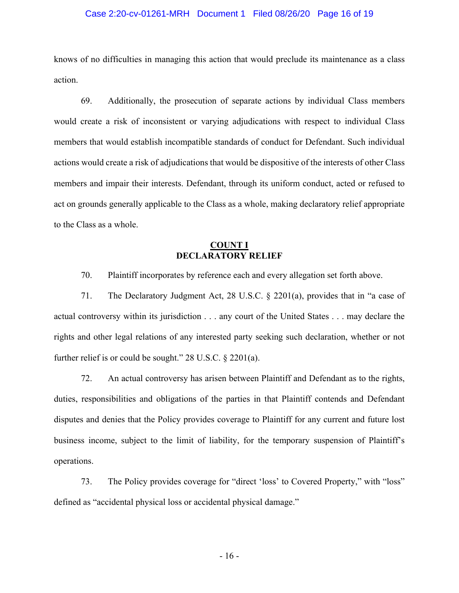#### Case 2:20-cv-01261-MRH Document 1 Filed 08/26/20 Page 16 of 19

knows of no difficulties in managing this action that would preclude its maintenance as a class action.

69. Additionally, the prosecution of separate actions by individual Class members would create a risk of inconsistent or varying adjudications with respect to individual Class members that would establish incompatible standards of conduct for Defendant. Such individual actions would create a risk of adjudications that would be dispositive of the interests of other Class members and impair their interests. Defendant, through its uniform conduct, acted or refused to act on grounds generally applicable to the Class as a whole, making declaratory relief appropriate to the Class as a whole.

# **COUNT I**<br>DECLARATORY RELIEF

70. Plaintiff incorporates by reference each and every allegation set forth above.

71. The Declaratory Judgment Act, 28 U.S.C.  $\S$  2201(a), provides that in "a case of actual controversy within its jurisdiction . . . any court of the United States . . . may declare the rights and other legal relations of any interested party seeking such declaration, whether or not further relief is or could be sought."  $28$  U.S.C.  $\S$   $2201(a)$ .

72. An actual controversy has arisen between Plaintiff and Defendant as to the rights, duties, responsibilities and obligations of the parties in that Plaintiff contends and Defendant disputes and denies that the Policy provides coverage to Plaintiff for any current and future lost business income, subject to the limit of liability, for the temporary suspension of Plaintiff's operations.

73. The Policy provides coverage for "direct 'loss' to Covered Property," with "loss" defined as "accidental physical loss or accidental physical damage."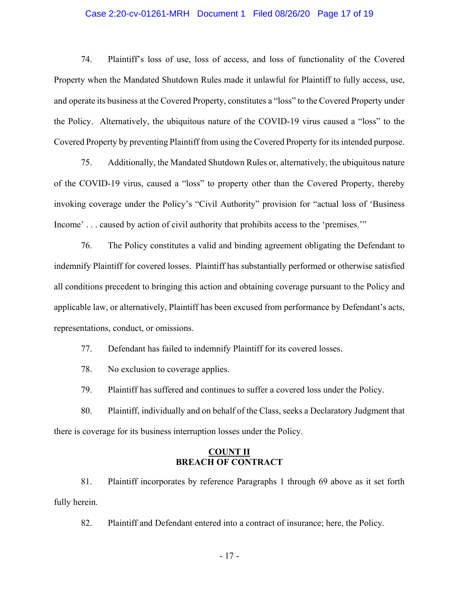#### Case 2:20-cv-01261-MRH Document 1 Filed 08/26/20 Page 17 of 19

74. Plaintiff's loss of use, loss of access, and loss of functionality of the Covered Property when the Mandated Shutdown Rules made it unlawful for Plaintiff to fully access, use, and operate its business at the Covered Property, constitutes a "loss" to the Covered Property under the Policy. Alternatively, the ubiquitous nature of the COVID-19 virus caused a "loss" to the Covered Property by preventing Plaintiff from using the Covered Property for its intended purpose.

75. Additionally, the Mandated Shutdown Rules or, alternatively, the ubiquitous nature of the COVID-19 virus, caused a "loss" to property other than the Covered Property, thereby invoking coverage under the Policy's "Civil Authority" provision for "actual loss of 'Business Income'... caused by action of civil authority that prohibits access to the 'premises."

76. The Policy constitutes a valid and binding agreement obligating the Defendant to indemnify Plaintiff for covered losses. Plaintiff has substantially performed or otherwise satisfied all conditions precedent to bringing this action and obtaining coverage pursuant to the Policy and applicable law, or alternatively, Plaintiff has been excused from performance by Defendant's acts, representations, conduct, or omissions.

77. Defendant has failed to indemnify Plaintiff for its covered losses.

78. No exclusion to coverage applies.

79. Plaintiff has suffered and continues to suffer a covered loss under the Policy.

80. Plaintiff, individually and on behalf of the Class, seeks a Declaratory Judgment that there is coverage for its business interruption losses under the Policy.

#### **COUNT II BREACH OF CONTRACT**

81. Plaintiff incorporates by reference Paragraphs 1 through 69 above as it set forth fully herein.

82. Plaintiff and Defendant entered into a contract of insurance; here, the Policy.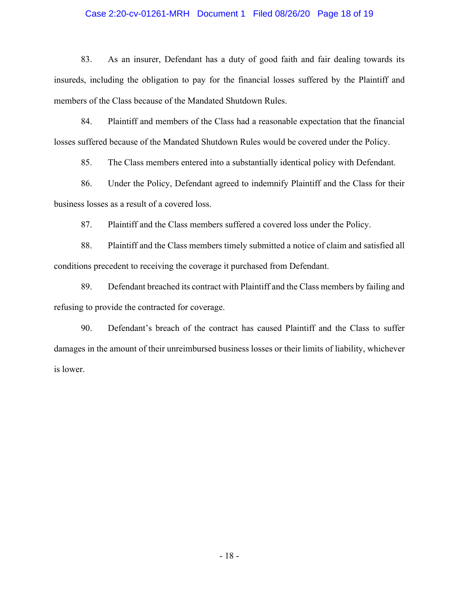#### Case 2:20-cv-01261-MRH Document 1 Filed 08/26/20 Page 18 of 19

83. As an insurer, Defendant has a duty of good faith and fair dealing towards its insureds, including the obligation to pay for the financial losses suffered by the Plaintiff and members of the Class because of the Mandated Shutdown Rules.

84. Plaintiff and members of the Class had a reasonable expectation that the financial losses suffered because of the Mandated Shutdown Rules would be covered under the Policy.

85. The Class members entered into a substantially identical policy with Defendant.

86. Under the Policy, Defendant agreed to indemnify Plaintiff and the Class for their business losses as a result of a covered loss.

87. Plaintiff and the Class members suffered a covered loss under the Policy.

88. Plaintiff and the Class members timely submitted a notice of claim and satisfied all conditions precedent to receiving the coverage it purchased from Defendant.

89. Defendant breached its contract with Plaintiff and the Class members by failing and refusing to provide the contracted for coverage.

90. Defendant's breach of the contract has caused Plaintiff and the Class to suffer damages in the amount of their unreimbursed business losses or their limits of liability, whichever is lower.